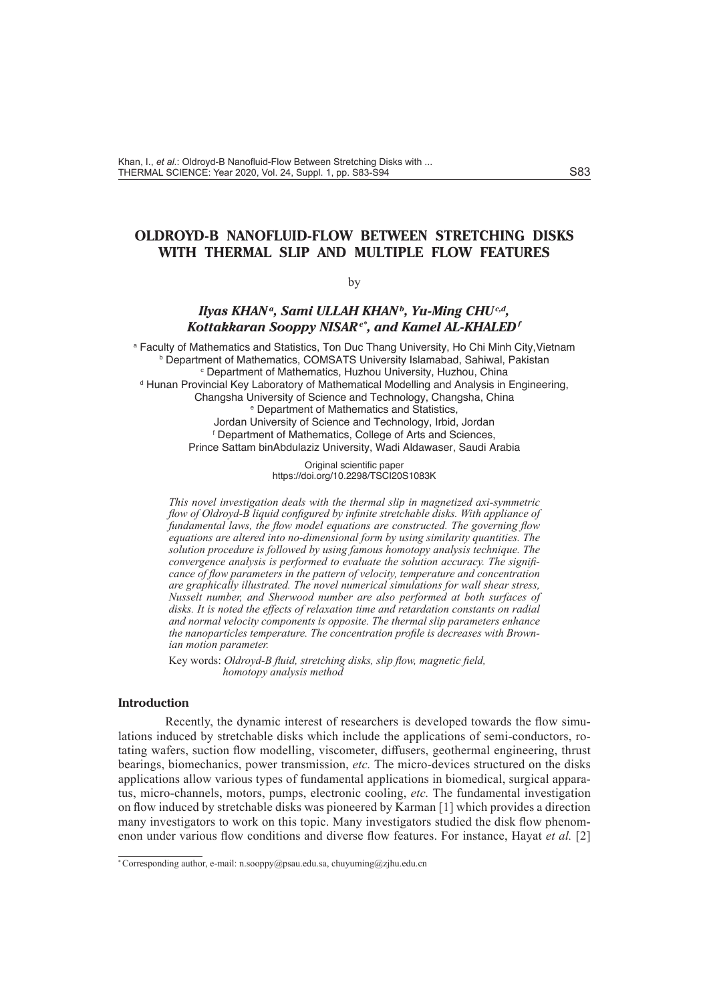# **OLDROYD-B NANOFLUID-FLOW BETWEEN STRETCHING DISKS WITH THERMAL SLIP AND MULTIPLE FLOW FEATURES**

### by

## *Ilyas KHANa, Sami ULLAH KHANb, Yu-Ming CHUc,d, Kottakkaran Sooppy NISARe\* , and Kamel AL-KHALEDf*

a Faculty of Mathematics and Statistics, Ton Duc Thang University, Ho Chi Minh City, Vietnam **b** Department of Mathematics, COMSATS University Islamabad, Sahiwal, Pakistan c Department of Mathematics, Huzhou University, Huzhou, China <sup>d</sup> Hunan Provincial Key Laboratory of Mathematical Modelling and Analysis in Engineering, Changsha University of Science and Technology, Changsha, China e Department of Mathematics and Statistics, Jordan University of Science and Technology, Irbid, Jordan f Department of Mathematics, College of Arts and Sciences, Prince Sattam binAbdulaziz University, Wadi Aldawaser, Saudi Arabia

> Original scientific paper https://doi.org/10.2298/TSCI20S1083K

*This novel investigation deals with the thermal slip in magnetized axi-symmetric flow of Oldroyd-B liquid configured by infinite stretchable disks. With appliance of fundamental laws, the flow model equations are constructed. The governing flow equations are altered into no-dimensional form by using similarity quantities. The solution procedure is followed by using famous homotopy analysis technique. The convergence analysis is performed to evaluate the solution accuracy. The significance of flow parameters in the pattern of velocity, temperature and concentration are graphically illustrated. The novel numerical simulations for wall shear stress, Nusselt number, and Sherwood number are also performed at both surfaces of disks. It is noted the effects of relaxation time and retardation constants on radial and normal velocity components is opposite. The thermal slip parameters enhance the nanoparticles temperature. The concentration profile is decreases with Brownian motion parameter.*

Key words: *Oldroyd-B fluid, stretching disks, slip flow, magnetic field, homotopy analysis method*

### **Introduction**

Recently, the dynamic interest of researchers is developed towards the flow simulations induced by stretchable disks which include the applications of semi-conductors, rotating wafers, suction flow modelling, viscometer, diffusers, geothermal engineering, thrust bearings, biomechanics, power transmission, *etc.* The micro-devices structured on the disks applications allow various types of fundamental applications in biomedical, surgical apparatus, micro-channels, motors, pumps, electronic cooling, *etc.* The fundamental investigation on flow induced by stretchable disks was pioneered by Karman [1] which provides a direction many investigators to work on this topic. Many investigators studied the disk flow phenomenon under various flow conditions and diverse flow features. For instance, Hayat *et al.* [2]

<sup>\*</sup> Corresponding author, e-mail: n.sooppy@psau.edu.sa, chuyuming@zjhu.edu.cn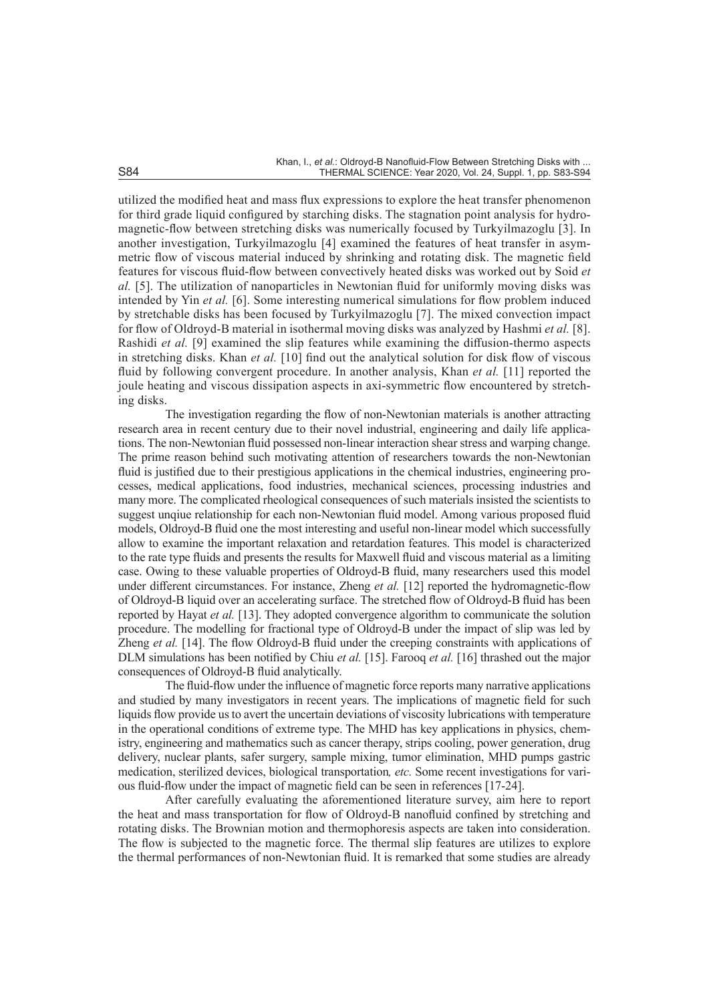utilized the modified heat and mass flux expressions to explore the heat transfer phenomenon for third grade liquid configured by starching disks. The stagnation point analysis for hydromagnetic-flow between stretching disks was numerically focused by Turkyilmazoglu [3]. In another investigation, Turkyilmazoglu [4] examined the features of heat transfer in asymmetric flow of viscous material induced by shrinking and rotating disk. The magnetic field features for viscous fluid-flow between convectively heated disks was worked out by Soid *et al.* [5]. The utilization of nanoparticles in Newtonian fluid for uniformly moving disks was intended by Yin *et al.* [6]. Some interesting numerical simulations for flow problem induced by stretchable disks has been focused by Turkyilmazoglu [7]. The mixed convection impact for flow of Oldroyd-B material in isothermal moving disks was analyzed by Hashmi *et al.* [8]. Rashidi *et al.* [9] examined the slip features while examining the diffusion-thermo aspects in stretching disks. Khan *et al.* [10] find out the analytical solution for disk flow of viscous fluid by following convergent procedure. In another analysis, Khan *et al.* [11] reported the joule heating and viscous dissipation aspects in axi-symmetric flow encountered by stretching disks.

The investigation regarding the flow of non-Newtonian materials is another attracting research area in recent century due to their novel industrial, engineering and daily life applications. The non-Newtonian fluid possessed non-linear interaction shear stress and warping change. The prime reason behind such motivating attention of researchers towards the non-Newtonian fluid is justified due to their prestigious applications in the chemical industries, engineering processes, medical applications, food industries, mechanical sciences, processing industries and many more. The complicated rheological consequences of such materials insisted the scientists to suggest unqiue relationship for each non-Newtonian fluid model. Among various proposed fluid models, Oldroyd-B fluid one the most interesting and useful non-linear model which successfully allow to examine the important relaxation and retardation features. This model is characterized to the rate type fluids and presents the results for Maxwell fluid and viscous material as a limiting case. Owing to these valuable properties of Oldroyd-B fluid, many researchers used this model under different circumstances. For instance, Zheng *et al.* [12] reported the hydromagnetic-flow of Oldroyd-B liquid over an accelerating surface. The stretched flow of Oldroyd-B fluid has been reported by Hayat *et al.* [13]. They adopted convergence algorithm to communicate the solution procedure. The modelling for fractional type of Oldroyd-B under the impact of slip was led by Zheng *et al.* [14]. The flow Oldroyd-B fluid under the creeping constraints with applications of DLM simulations has been notified by Chiu *et al.* [15]. Farooq *et al.* [16] thrashed out the major consequences of Oldroyd-B fluid analytically.

The fluid-flow under the influence of magnetic force reports many narrative applications and studied by many investigators in recent years. The implications of magnetic field for such liquids flow provide us to avert the uncertain deviations of viscosity lubrications with temperature in the operational conditions of extreme type. The MHD has key applications in physics, chemistry, engineering and mathematics such as cancer therapy, strips cooling, power generation, drug delivery, nuclear plants, safer surgery, sample mixing, tumor elimination, MHD pumps gastric medication, sterilized devices, biological transportation*, etc.* Some recent investigations for various fluid-flow under the impact of magnetic field can be seen in references [17-24].

After carefully evaluating the aforementioned literature survey, aim here to report the heat and mass transportation for flow of Oldroyd-B nanofluid confined by stretching and rotating disks. The Brownian motion and thermophoresis aspects are taken into consideration. The flow is subjected to the magnetic force. The thermal slip features are utilizes to explore the thermal performances of non-Newtonian fluid. It is remarked that some studies are already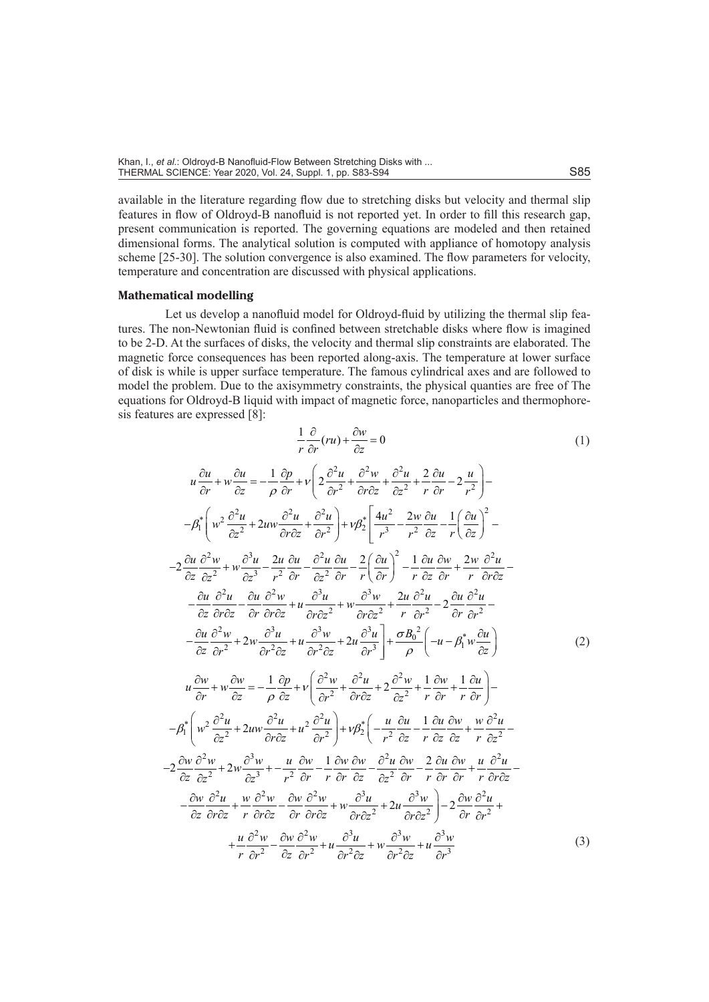available in the literature regarding flow due to stretching disks but velocity and thermal slip features in flow of Oldroyd-B nanofluid is not reported yet. In order to fill this research gap, present communication is reported. The governing equations are modeled and then retained dimensional forms. The analytical solution is computed with appliance of homotopy analysis scheme [25-30]. The solution convergence is also examined. The flow parameters for velocity, temperature and concentration are discussed with physical applications.

### **Mathematical modelling**

Let us develop a nanofluid model for Oldroyd-fluid by utilizing the thermal slip features. The non-Newtonian fluid is confined between stretchable disks where flow is imagined to be 2-D. At the surfaces of disks, the velocity and thermal slip constraints are elaborated. The magnetic force consequences has been reported along-axis. The temperature at lower surface of disk is while is upper surface temperature. The famous cylindrical axes and are followed to model the problem. Due to the axisymmetry constraints, the physical quanties are free of The equations for Oldroyd-B liquid with impact of magnetic force, nanoparticles and thermophoresis features are expressed [8]:

$$
\frac{1}{r}\frac{\partial}{\partial r}(ru) + \frac{\partial w}{\partial z} = 0
$$
(1)  

$$
u\frac{\partial u}{\partial r} + w\frac{\partial u}{\partial z} = -\frac{1}{\rho}\frac{\partial p}{\partial r} + v\left(2\frac{\partial^2 u}{\partial r^2} + \frac{\partial^2 w}{\partial r \partial z} + \frac{\partial^2 u}{\partial z^2} + \frac{2}{r}\frac{\partial u}{\partial r} - 2\frac{u}{r^2}\right) -
$$

$$
-\beta_1^* \left(w^2 \frac{\partial^2 u}{\partial z^2} + 2uw \frac{\partial^2 u}{\partial r \partial z} + \frac{\partial^2 u}{\partial r^2}\right) + v\beta_2^* \left(\frac{4u^2}{r^3} - \frac{2w}{r^2} \frac{\partial u}{\partial z} - \frac{1}{r}\left(\frac{\partial u}{\partial z}\right)^2 -
$$

$$
-2\frac{\partial u}{\partial z}\frac{\partial^2 w}{\partial z^2} + w\frac{\partial^3 u}{\partial z^3} - \frac{2u}{r^2}\frac{\partial u}{\partial r} - \frac{\partial^2 u}{\partial z^2}\frac{\partial u}{\partial r} - \frac{2}{r}\left(\frac{\partial u}{\partial r}\right)^2 - \frac{1}{r}\frac{\partial u}{\partial z}\frac{\partial w}{\partial r} + \frac{2w}{r}\frac{\partial^2 u}{\partial r \partial z} -
$$

$$
-\frac{\partial u}{\partial z}\frac{\partial^2 u}{\partial r \partial z} - \frac{\partial u}{\partial r}\frac{\partial^2 w}{\partial r \partial z} + u\frac{\partial^3 u}{\partial r \partial z^2} + 2u\frac{\partial^3 u}{\partial r \partial z^2} + \frac{2u}{r}\frac{\partial^2 u}{\partial r^2} - 2\frac{\partial u}{\partial r}\frac{\partial^2 u}{\partial r^2} -
$$

$$
-\frac{\partial u}{\partial z}\frac{\partial^2 w}{\partial r^2} + 2w\frac{\partial^3 u}{\partial r^2 \partial z} + u\frac{\partial^3 w}{\partial r \partial z} + 2u\frac{\partial^3 u}{\partial r^3}\right] + \frac{\sigma B_0^2}{\rho} \left(-u - \beta_1^* w \frac{\partial u}{\partial z}\right)
$$
(2)  

$$
u\frac{\partial w}{\
$$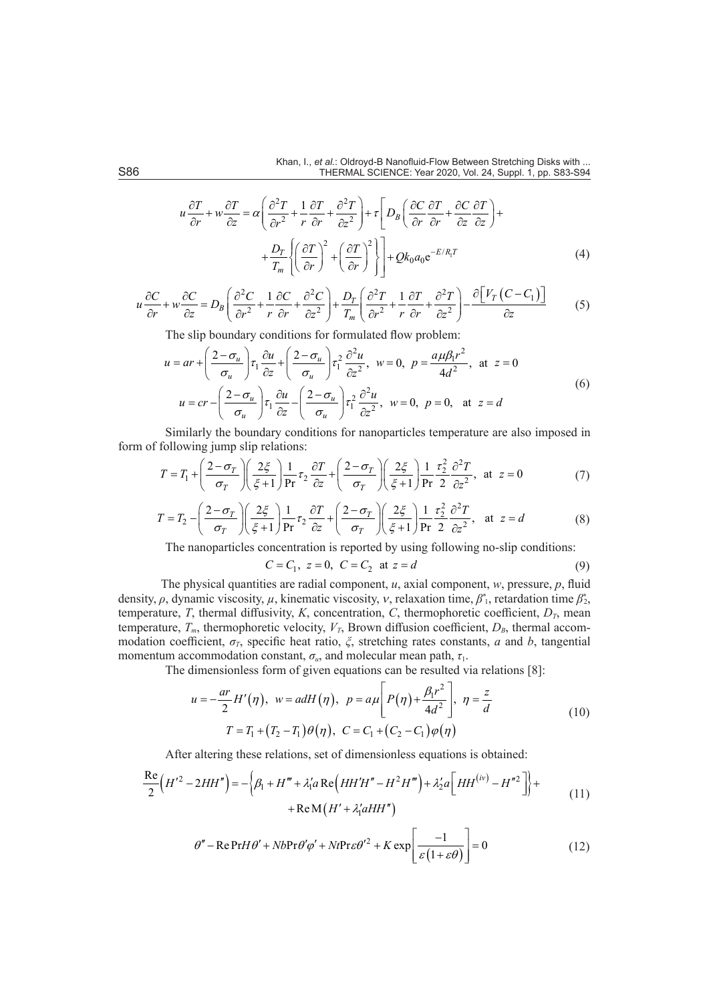$$
u\frac{\partial T}{\partial r} + w\frac{\partial T}{\partial z} = \alpha \left( \frac{\partial^2 T}{\partial r^2} + \frac{1}{r} \frac{\partial T}{\partial r} + \frac{\partial^2 T}{\partial z^2} \right) + \tau \left[ D_B \left( \frac{\partial C}{\partial r} \frac{\partial T}{\partial r} + \frac{\partial C}{\partial z} \frac{\partial T}{\partial z} \right) + \right. \\
\left. + \frac{D_T}{T_m} \left\{ \left( \frac{\partial T}{\partial r} \right)^2 + \left( \frac{\partial T}{\partial r} \right)^2 \right\} \right] + Qk_0 a_0 e^{-E/R_1 T} \tag{4}
$$

$$
u\frac{\partial C}{\partial r} + w\frac{\partial C}{\partial z} = D_B \left( \frac{\partial^2 C}{\partial r^2} + \frac{1}{r} \frac{\partial C}{\partial r} + \frac{\partial^2 C}{\partial z^2} \right) + \frac{D_T}{T_m} \left( \frac{\partial^2 T}{\partial r^2} + \frac{1}{r} \frac{\partial T}{\partial r} + \frac{\partial^2 T}{\partial z^2} \right) - \frac{\partial \left[ V_T \left( C - C_1 \right) \right]}{\partial z} \tag{5}
$$

The slip boundary conditions for formulated flow problem:

$$
u = ar + \left(\frac{2 - \sigma_u}{\sigma_u}\right) \tau_1 \frac{\partial u}{\partial z} + \left(\frac{2 - \sigma_u}{\sigma_u}\right) \tau_1^2 \frac{\partial^2 u}{\partial z^2}, \quad w = 0, \quad p = \frac{a \mu \beta_1 r^2}{4d^2}, \quad \text{at} \quad z = 0
$$
  

$$
u = cr - \left(\frac{2 - \sigma_u}{\sigma_u}\right) \tau_1 \frac{\partial u}{\partial z} - \left(\frac{2 - \sigma_u}{\sigma_u}\right) \tau_1^2 \frac{\partial^2 u}{\partial z^2}, \quad w = 0, \quad p = 0, \quad \text{at} \quad z = d
$$
 (6)

Similarly the boundary conditions for nanoparticles temperature are also imposed in form of following jump slip relations:

$$
T = T_1 + \left(\frac{2 - \sigma_T}{\sigma_T}\right) \left(\frac{2\xi}{\xi + 1}\right) \frac{1}{\text{Pr}} \tau_2 \frac{\partial T}{\partial z} + \left(\frac{2 - \sigma_T}{\sigma_T}\right) \left(\frac{2\xi}{\xi + 1}\right) \frac{1}{\text{Pr}} \frac{\tau_2^2}{2} \frac{\partial^2 T}{\partial z^2}, \text{ at } z = 0 \tag{7}
$$

$$
T = T_2 - \left(\frac{2 - \sigma_T}{\sigma_T}\right) \left(\frac{2\xi}{\xi + 1}\right) \frac{1}{\text{Pr}} \tau_2 \frac{\partial T}{\partial z} + \left(\frac{2 - \sigma_T}{\sigma_T}\right) \left(\frac{2\xi}{\xi + 1}\right) \frac{1}{\text{Pr}} \frac{\tau_2^2}{2} \frac{\partial^2 T}{\partial z^2}, \text{ at } z = d \tag{8}
$$

The nanoparticles concentration is reported by using following no-slip conditions:

$$
C = C_1, \ z = 0, \ C = C_2 \ \text{at} \ z = d \tag{9}
$$

The physical quantities are radial component, *u*, axial component, *w*, pressure, *p*, fluid density,  $\rho$ , dynamic viscosity,  $\mu$ , kinematic viscosity,  $\nu$ , relaxation time,  $\beta_1^*$ , retardation time  $\beta_2^*$ , temperature, *T*, thermal diffusivity, *K*, concentration, *C*, thermophoretic coefficient,  $D_T$ , mean temperature,  $T_m$ , thermophoretic velocity,  $V_T$ , Brown diffusion coefficient,  $D_B$ , thermal accommodation coefficient, *σT*, specific heat ratio, *ξ*, stretching rates constants, *a* and *b*, tangential momentum accommodation constant,  $\sigma_u$ , and molecular mean path,  $\tau_1$ .

The dimensionless form of given equations can be resulted via relations [8]:

$$
u = -\frac{ar}{2}H'(\eta), \ w = adH(\eta), \ p = a\mu \left[ P(\eta) + \frac{\beta_1 r^2}{4d^2} \right], \ \eta = \frac{z}{d}
$$
  

$$
T = T_1 + (T_2 - T_1)\theta(\eta), \ C = C_1 + (C_2 - C_1)\varphi(\eta)
$$
 (10)

After altering these relations, set of dimensionless equations is obtained:

$$
\frac{\text{Re}}{2} (H'^2 - 2HH'') = -\left\{ \beta_1 + H''' + \lambda_1 a \text{ Re} \left( HH'H'' - H^2H''' \right) + \lambda_2' a \left[ HH^{(iv)} - H''^2 \right] \right\} + \text{Re} \left( H' + \lambda_1' aHH'' \right) \tag{11}
$$

$$
\theta'' - \text{Re} \Pr H \theta' + Nb \Pr \theta' \varphi' + Nt \Pr \varepsilon \theta'^2 + K \exp \left[ \frac{-1}{\varepsilon \left( 1 + \varepsilon \theta \right)} \right] = 0 \tag{12}
$$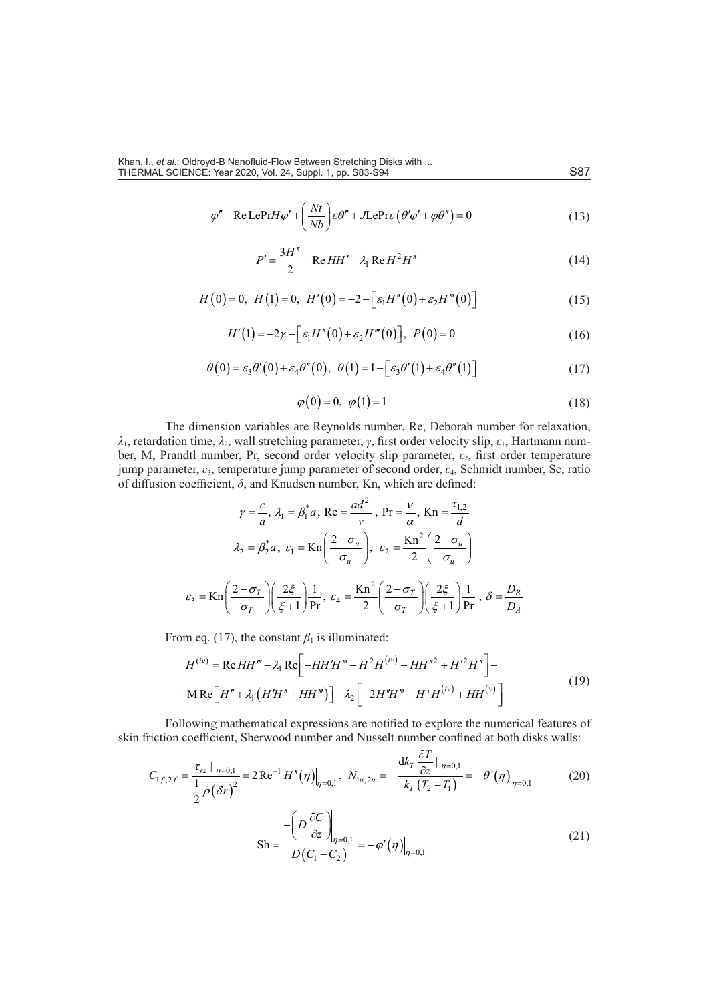$$
\varphi'' - \text{Re LePrH}\varphi' + \left(\frac{Nt}{Nb}\right)\varepsilon\theta'' + J\text{LePr}\varepsilon\left(\theta'\varphi' + \varphi\theta''\right) = 0\tag{13}
$$

$$
P' = \frac{3H''}{2} - \text{Re } HH' - \lambda_1 \text{Re } H^2 H''
$$
 (14)

$$
H(0) = 0, H(1) = 0, H'(0) = -2 + \left[\varepsilon_1 H''(0) + \varepsilon_2 H'''(0)\right]
$$
\n(15)

$$
H'(1) = -2\gamma - \Big[\varepsilon_1 H''(0) + \varepsilon_2 H'''(0)\Big], \ P(0) = 0 \tag{16}
$$

$$
\theta(0) = \varepsilon_3 \theta'(0) + \varepsilon_4 \theta''(0), \quad \theta(1) = 1 - \left[\varepsilon_3 \theta'(1) + \varepsilon_4 \theta''(1)\right]
$$
(17)

$$
\varphi(0) = 0, \ \varphi(1) = 1 \tag{18}
$$

The dimension variables are Reynolds number, Re, Deborah number for relaxation, *λ*1, retardation time, *λ*2, wall stretching parameter, *γ*, first order velocity slip, *ε*1, Hartmann number, M, Prandtl number, Pr, second order velocity slip parameter, ε<sub>2</sub>, first order temperature jump parameter, *ε*3, temperature jump parameter of second order, *ε*4, Schmidt number, Sc, ratio of diffusion coefficient, *δ*, and Knudsen number, Kn, which are defined:

$$
\gamma = \frac{c}{a}, \lambda_1 = \beta_1^* a, \text{ Re} = \frac{ad^2}{v}, \text{ Pr} = \frac{v}{\alpha}, \text{ Kn} = \frac{\tau_{1,2}}{d}
$$

$$
\lambda_2 = \beta_2^* a, \ \varepsilon_1 = \text{Kn}\left(\frac{2-\sigma_u}{\sigma_u}\right), \ \varepsilon_2 = \frac{\text{Kn}^2}{2}\left(\frac{2-\sigma_u}{\sigma_u}\right)
$$

$$
\varepsilon_3 = \text{Kn}\left(\frac{2-\sigma_T}{\sigma_T}\right)\left(\frac{2\xi}{\xi+1}\right)\frac{1}{\text{Pr}}, \ \varepsilon_4 = \frac{\text{Kn}^2}{2}\left(\frac{2-\sigma_T}{\sigma_T}\right)\left(\frac{2\xi}{\xi+1}\right)\frac{1}{\text{Pr}}, \ \delta = \frac{D_B}{D_A}
$$

From eq. (17), the constant  $\beta_1$  is illuminated:

$$
H^{(iv)} = \text{Re } HH''' - \lambda_1 \text{Re}\left[-HH'H''' - H^2H^{(iv)} + HH''^2 + H'^2H''\right] -
$$
  
-M Re $\left[H'' + \lambda_1 \left(H'H'' + HH'''\right)\right] - \lambda_2 \left[-2H''H''' + H'H^{(iv)} + HH^{(v)}\right]$  (19)

Following mathematical expressions are notified to explore the numerical features of skin friction coefficient, Sherwood number and Nusselt number confined at both disks walls:

$$
C_{1f,2f} = \frac{\tau_{rz} \mid \eta = 0,1}{\frac{1}{2}\rho(\delta r)^2} = 2\operatorname{Re}^{-1} H''(\eta) \Big|_{\eta = 0,1}, \ N_{1u,2u} = -\frac{\mathrm{d}k_r \frac{\partial T}{\partial z} \mid \eta = 0,1}{k_r (T_2 - T_1)} = -\theta'(\eta) \Big|_{\eta = 0,1}
$$
(20)

$$
\mathrm{Sh} = \frac{-\left(D\frac{\partial C}{\partial z}\right)\Big|_{\eta=0,1}}{D(C_1 - C_2)} = -\varphi'(\eta)\Big|_{\eta=0,1} \tag{21}
$$

∂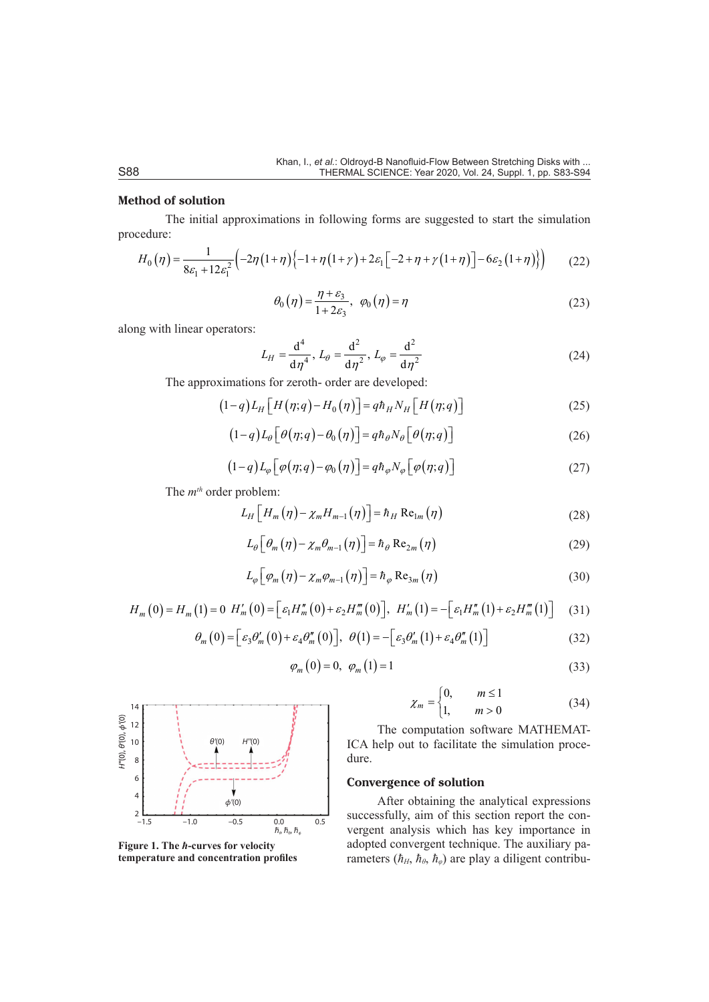### **Method of solution**

The initial approximations in following forms are suggested to start the simulation procedure:

$$
H_0(\eta) = \frac{1}{8\varepsilon_1 + 12\varepsilon_1^2} \Big( -2\eta \big(1 + \eta\big)\Big\{-1 + \eta \big(1 + \gamma\big) + 2\varepsilon_1 \Big[-2 + \eta + \gamma \big(1 + \eta\big)\Big] - 6\varepsilon_2 \big(1 + \eta\big)\Big\} \Big) \tag{22}
$$

$$
\theta_0(\eta) = \frac{\eta + \varepsilon_3}{1 + 2\varepsilon_3}, \ \varphi_0(\eta) = \eta \tag{23}
$$

along with linear operators:

$$
L_H = \frac{d^4}{d\eta^4}, L_\theta = \frac{d^2}{d\eta^2}, L_\phi = \frac{d^2}{d\eta^2}
$$
 (24)

The approximations for zeroth- order are developed:

$$
(1-q)L_H\left[H(\eta;q)-H_0(\eta)\right] = q\hbar_H N_H\left[H(\eta;q)\right] \tag{25}
$$

$$
(1-q)L_{\theta}\left[\theta(\eta;q)-\theta_{0}(\eta)\right]=q\hbar_{\theta}N_{\theta}\left[\theta(\eta;q)\right]
$$
\n(26)

$$
(1-q)L_{\varphi}\big[\varphi(\eta;q)-\varphi_0(\eta)\big]=q\hbar_{\varphi}N_{\varphi}\big[\varphi(\eta;q)\big]
$$
\n(27)

The  $m<sup>th</sup>$  order problem:

$$
L_H \left[ H_m \left( \eta \right) - \chi_m H_{m-1} \left( \eta \right) \right] = \hbar_H \operatorname{Re}_{1m} \left( \eta \right) \tag{28}
$$

$$
L_{\theta}\left[\theta_{m}(\eta)-\chi_{m}\theta_{m-1}(\eta)\right]=\hbar_{\theta}\operatorname{Re}_{2m}(\eta)
$$
\n(29)

$$
L_{\varphi}\left[\varphi_{m}\left(\eta\right)-\chi_{m}\varphi_{m-1}\left(\eta\right)\right]=\hbar_{\varphi}\operatorname{Re}_{3m}\left(\eta\right)
$$
\n(30)

$$
H_m(0) = H_m(1) = 0 \ H'_m(0) = \Big[ \varepsilon_1 H''_m(0) + \varepsilon_2 H'''_m(0) \Big], \ H'_m(1) = - \Big[ \varepsilon_1 H''_m(1) + \varepsilon_2 H'''_m(1) \Big] \tag{31}
$$

$$
\theta_m(0) = \left[\varepsilon_3 \theta_m'(0) + \varepsilon_4 \theta_m''(0)\right], \ \theta(1) = -\left[\varepsilon_3 \theta_m'(1) + \varepsilon_4 \theta_m''(1)\right]
$$
(32)

$$
\varphi_m(0) = 0, \ \varphi_m(1) = 1 \tag{33}
$$



**Figure 1. The** *ћ***-curves for velocity temperature and concentration profiles**

$$
\chi_m = \begin{cases} 0, & m \le 1 \\ 1, & m > 0 \end{cases}
$$
 (34)

The computation software MATHEMAT-ICA help out to facilitate the simulation procedure.

### **Convergence of solution**

After obtaining the analytical expressions successfully, aim of this section report the convergent analysis which has key importance in adopted convergent technique. The auxiliary parameters  $(h<sub>H</sub>, h<sub>θ</sub>, h<sub>φ</sub>)$  are play a diligent contribu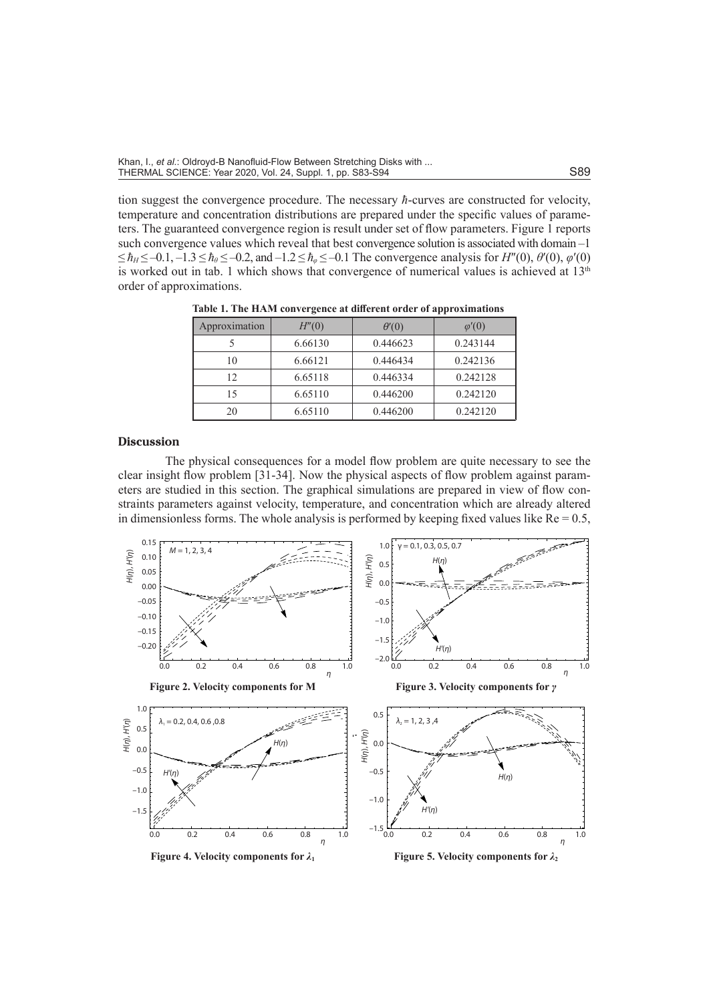tion suggest the convergence procedure. The necessary *ћ*-curves are constructed for velocity, temperature and concentration distributions are prepared under the specific values of parameters. The guaranteed convergence region is result under set of flow parameters. Figure 1 reports such convergence values which reveal that best convergence solution is associated with domain –1  $\leq \hbar_H \leq -0.1, -1.3 \leq \hbar_\theta \leq -0.2$ , and  $-1.2 \leq \hbar_\theta \leq -0.1$  The convergence analysis for  $H''(0), \theta'(0), \varphi'(0)$ is worked out in tab. 1 which shows that convergence of numerical values is achieved at 13<sup>th</sup> order of approximations.

| Approximation | H''(0)  | $\theta'(0)$ | $\varphi'(0)$ |
|---------------|---------|--------------|---------------|
|               | 6.66130 | 0.446623     | 0.243144      |
| 10            | 6.66121 | 0.446434     | 0.242136      |
| 12            | 6.65118 | 0.446334     | 0.242128      |
| 15            | 6.65110 | 0.446200     | 0.242120      |
| 20            | 6.65110 | 0.446200     | 0.242120      |

**Table 1. The HAM convergence at different order of approximations**

#### **Discussion**

The physical consequences for a model flow problem are quite necessary to see the clear insight flow problem [31-34]. Now the physical aspects of flow problem against parameters are studied in this section. The graphical simulations are prepared in view of flow constraints parameters against velocity, temperature, and concentration which are already altered in dimensionless forms. The whole analysis is performed by keeping fixed values like  $Re = 0.5$ ,



**Figure 4. Velocity components for**  $\lambda_1$  **<b>Figure 5. Velocity components for**  $\lambda_2$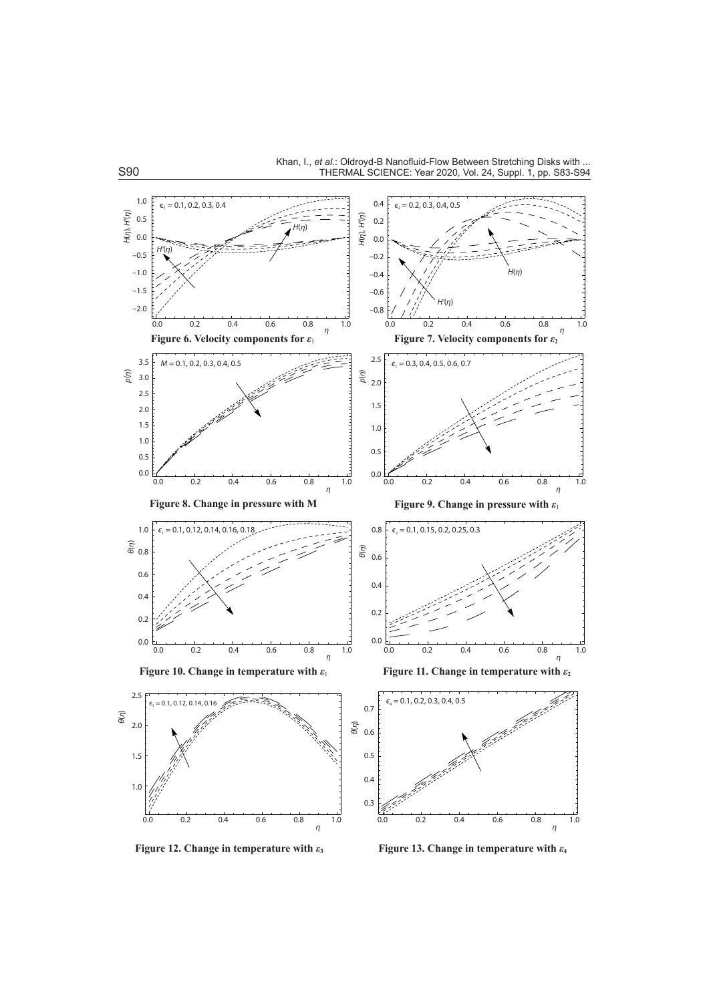

**Figure 12. Change in temperature with**  $\varepsilon_3$  **<b>Figure 13. Change in temperature with**  $\varepsilon_4$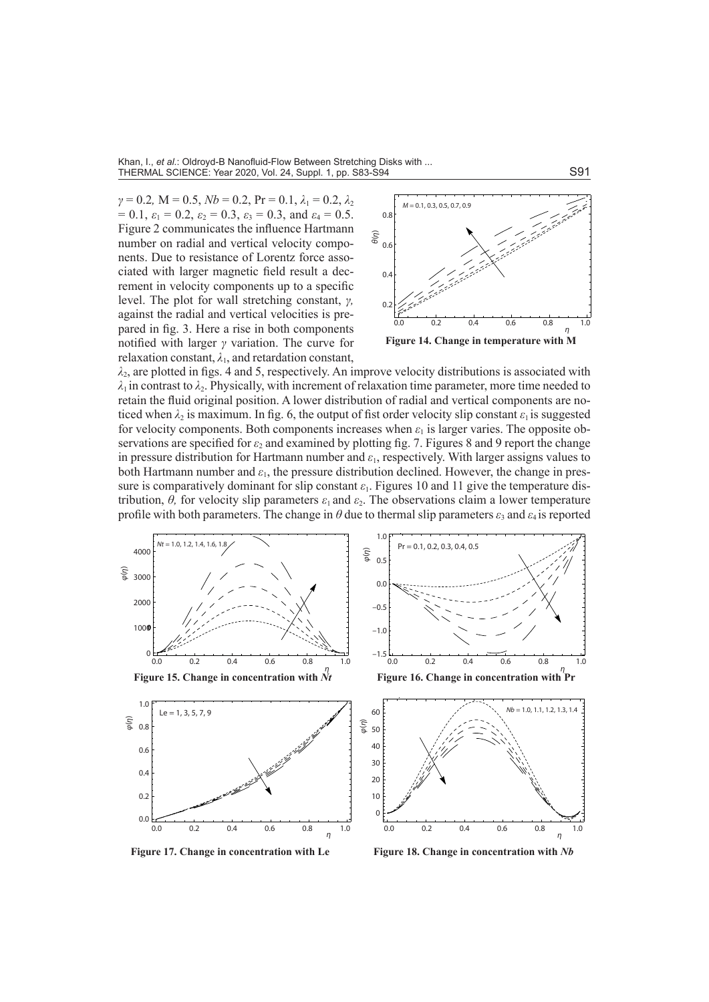Khan, I., *et al.*: Oldroyd-B Nanofluid-Flow Between Stretching Disks with ... THERMAL SCIENCE: Year 2020, Vol. 24, Suppl. 1, pp. S83-S94 S91 S91 S91 S91

 $\gamma = 0.2$ , M = 0.5, *Nb* = 0.2, Pr = 0.1,  $\lambda_1 = 0.2$ ,  $\lambda_2$  $= 0.1, \varepsilon_1 = 0.2, \varepsilon_2 = 0.3, \varepsilon_3 = 0.3, \text{ and } \varepsilon_4 = 0.5.$ Figure 2 communicates the influence Hartmann number on radial and vertical velocity components. Due to resistance of Lorentz force associated with larger magnetic field result a decrement in velocity components up to a specific level. The plot for wall stretching constant, *γ,*  against the radial and vertical velocities is prepared in fig. 3. Here a rise in both components notified with larger *γ* variation. The curve for relaxation constant,  $\lambda_1$ , and retardation constant,



 $\lambda_2$ , are plotted in figs. 4 and 5, respectively. An improve velocity distributions is associated with  $\lambda_1$  in contrast to  $\lambda_2$ . Physically, with increment of relaxation time parameter, more time needed to retain the fluid original position. A lower distribution of radial and vertical components are noticed when  $\lambda_2$  is maximum. In fig. 6, the output of fist order velocity slip constant  $\varepsilon_1$  is suggested for velocity components. Both components increases when  $\varepsilon_1$  is larger varies. The opposite observations are specified for  $\varepsilon_2$  and examined by plotting fig. 7. Figures 8 and 9 report the change in pressure distribution for Hartmann number and *ε*1, respectively. With larger assigns values to both Hartmann number and  $\varepsilon_1$ , the pressure distribution declined. However, the change in pressure is comparatively dominant for slip constant  $\varepsilon_1$ . Figures 10 and 11 give the temperature distribution,  $\theta$ , for velocity slip parameters  $\varepsilon_1$  and  $\varepsilon_2$ . The observations claim a lower temperature profile with both parameters. The change in  $\theta$  due to thermal slip parameters  $\varepsilon_3$  and  $\varepsilon_4$  is reported



**Figure 17. Change in concentration with Le** Figure 18. Change in concentration with *Nb*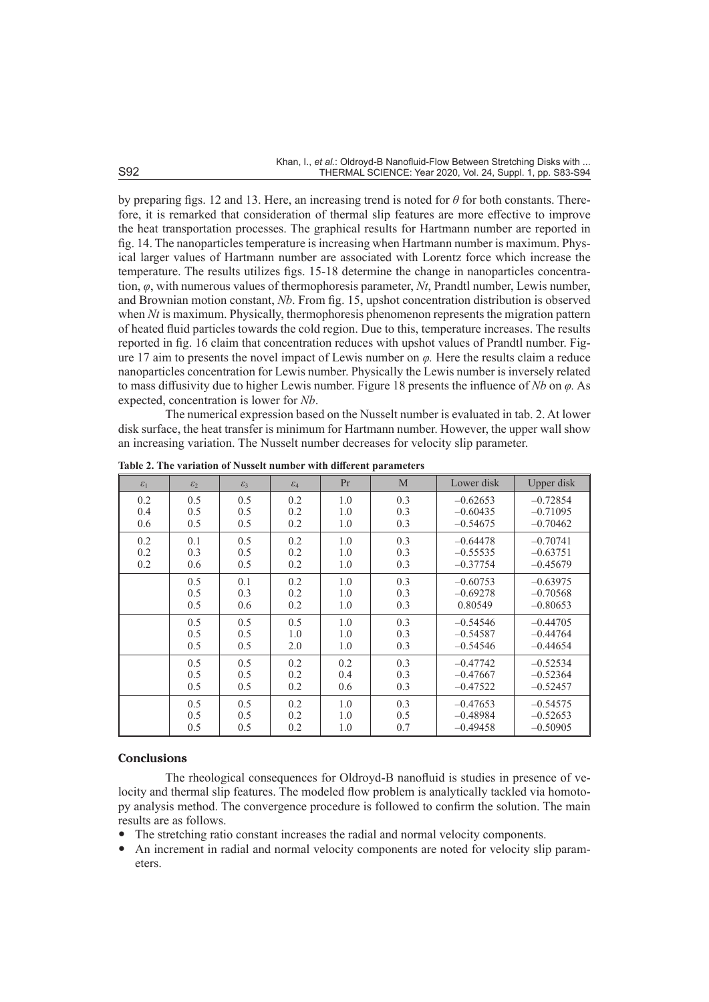by preparing figs. 12 and 13. Here, an increasing trend is noted for *θ* for both constants. Therefore, it is remarked that consideration of thermal slip features are more effective to improve the heat transportation processes. The graphical results for Hartmann number are reported in fig. 14. The nanoparticles temperature is increasing when Hartmann number is maximum. Physical larger values of Hartmann number are associated with Lorentz force which increase the temperature. The results utilizes figs. 15-18 determine the change in nanoparticles concentration, *φ*, with numerous values of thermophoresis parameter, *Nt*, Prandtl number, Lewis number, and Brownian motion constant, *Nb*. From fig. 15, upshot concentration distribution is observed when *Nt* is maximum. Physically, thermophoresis phenomenon represents the migration pattern of heated fluid particles towards the cold region. Due to this, temperature increases. The results reported in fig. 16 claim that concentration reduces with upshot values of Prandtl number. Figure 17 aim to presents the novel impact of Lewis number on *φ.* Here the results claim a reduce nanoparticles concentration for Lewis number. Physically the Lewis number is inversely related to mass diffusivity due to higher Lewis number. Figure 18 presents the influence of *Nb* on *φ.* As expected, concentration is lower for *Nb*.

The numerical expression based on the Nusselt number is evaluated in tab. 2. At lower disk surface, the heat transfer is minimum for Hartmann number. However, the upper wall show an increasing variation. The Nusselt number decreases for velocity slip parameter.

| $\varepsilon_1$ | $\mathcal{E}_2$ | $\mathcal{E}_3$ | $\varepsilon_4$ | Pr  | M   | Lower disk | Upper disk |
|-----------------|-----------------|-----------------|-----------------|-----|-----|------------|------------|
| 0.2             | 0.5             | 0.5             | 0.2             | 1.0 | 0.3 | $-0.62653$ | $-0.72854$ |
| 0.4             | 0.5             | 0.5             | 0.2             | 1.0 | 0.3 | $-0.60435$ | $-0.71095$ |
| 0.6             | 0.5             | 0.5             | 0.2             | 1.0 | 0.3 | $-0.54675$ | $-0.70462$ |
| 0.2             | 0.1             | 0.5             | 0.2             | 1.0 | 0.3 | $-0.64478$ | $-0.70741$ |
| 0.2             | 0.3             | 0.5             | 0.2             | 1.0 | 0.3 | $-0.55535$ | $-0.63751$ |
| 0.2             | 0.6             | 0.5             | 0.2             | 1.0 | 0.3 | $-0.37754$ | $-0.45679$ |
|                 | 0.5             | 0.1             | 0.2             | 1.0 | 0.3 | $-0.60753$ | $-0.63975$ |
|                 | 0.5             | 0.3             | 0.2             | 1.0 | 0.3 | $-0.69278$ | $-0.70568$ |
|                 | 0.5             | 0.6             | 0.2             | 1.0 | 0.3 | 0.80549    | $-0.80653$ |
|                 | 0.5             | 0.5             | 0.5             | 1.0 | 0.3 | $-0.54546$ | $-0.44705$ |
|                 | 0.5             | 0.5             | 1.0             | 1.0 | 0.3 | $-0.54587$ | $-0.44764$ |
|                 | 0.5             | 0.5             | 2.0             | 1.0 | 0.3 | $-0.54546$ | $-0.44654$ |
|                 | 0.5             | 0.5             | 0.2             | 0.2 | 0.3 | $-0.47742$ | $-0.52534$ |
|                 | 0.5             | 0.5             | 0.2             | 0.4 | 0.3 | $-0.47667$ | $-0.52364$ |
|                 | 0.5             | 0.5             | 0.2             | 0.6 | 0.3 | $-0.47522$ | $-0.52457$ |
|                 | 0.5             | 0.5             | 0.2             | 1.0 | 0.3 | $-0.47653$ | $-0.54575$ |
|                 | 0.5             | 0.5             | 0.2             | 1.0 | 0.5 | $-0.48984$ | $-0.52653$ |
|                 | 0.5             | 0.5             | 0.2             | 1.0 | 0.7 | $-0.49458$ | $-0.50905$ |

**Table 2. The variation of Nusselt number with different parameters**

#### **Conclusions**

The rheological consequences for Oldroyd-B nanofluid is studies in presence of velocity and thermal slip features. The modeled flow problem is analytically tackled via homotopy analysis method. The convergence procedure is followed to confirm the solution. The main results are as follows.

- The stretching ratio constant increases the radial and normal velocity components.
- An increment in radial and normal velocity components are noted for velocity slip parameters.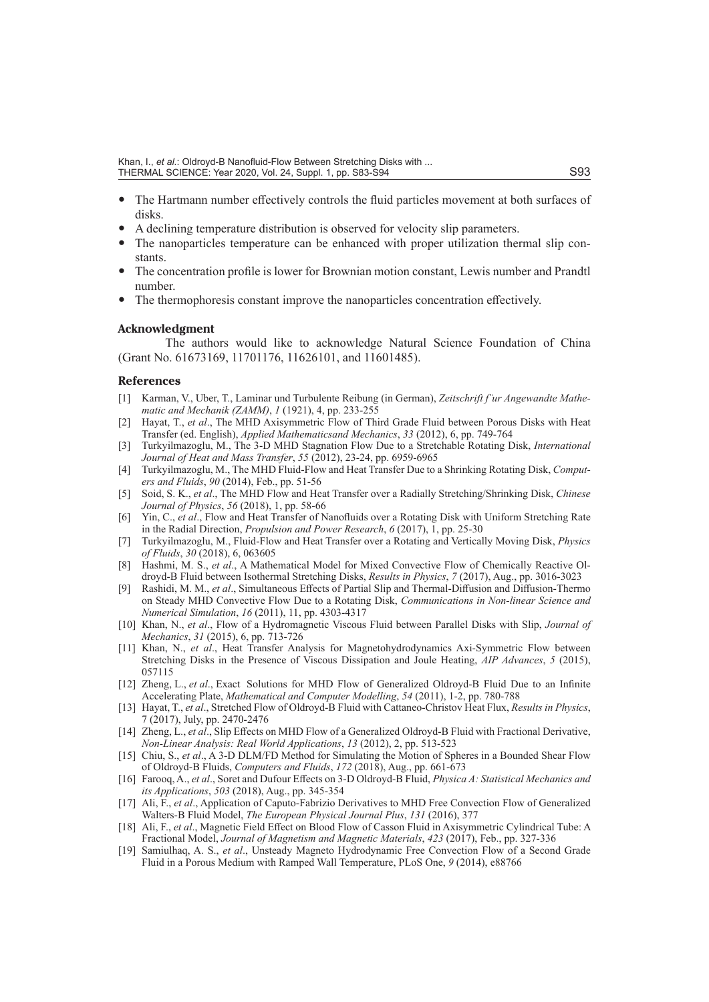- The Hartmann number effectively controls the fluid particles movement at both surfaces of disks.
- A declining temperature distribution is observed for velocity slip parameters.
- The nanoparticles temperature can be enhanced with proper utilization thermal slip constants.
- The concentration profile is lower for Brownian motion constant, Lewis number and Prandtl number.
- The thermophoresis constant improve the nanoparticles concentration effectively.

#### **Acknowledgment**

The authors would like to acknowledge Natural Science Foundation of China (Grant No. 61673169, 11701176, 11626101, and 11601485).

#### **References**

- [1] Karman, V., Uber, T., Laminar und Turbulente Reibung (in German), *Zeitschrift f¨ur Angewandte Mathematic and Mechanik (ZAMM)*, *1* (1921), 4, pp. 233-255
- [2] Hayat, T., *et al*., The MHD Axisymmetric Flow of Third Grade Fluid between Porous Disks with Heat Transfer (ed. English), *Applied Mathematicsand Mechanics*, *33* (2012), 6, pp. 749-764
- [3] Turkyilmazoglu, M., The 3-D MHD Stagnation Flow Due to a Stretchable Rotating Disk, *International Journal of Heat and Mass Transfer*, *55* (2012), 23-24, pp. 6959-6965
- [4] Turkyilmazoglu, M., The MHD Fluid-Flow and Heat Transfer Due to a Shrinking Rotating Disk, *Computers and Fluids*, *90* (2014), Feb., pp. 51-56
- [5] Soid, S. K., *et al*., The MHD Flow and Heat Transfer over a Radially Stretching/Shrinking Disk, *Chinese Journal of Physics*, *56* (2018), 1, pp. 58-66
- [6] Yin, C., *et al*., Flow and Heat Transfer of Nanofluids over a Rotating Disk with Uniform Stretching Rate in the Radial Direction, *Propulsion and Power Research*, *6* (2017), 1, pp. 25-30
- [7] Turkyilmazoglu, M., Fluid-Flow and Heat Transfer over a Rotating and Vertically Moving Disk, *Physics of Fluids*, *30* (2018), 6, 063605
- [8] Hashmi, M. S., *et al*., A Mathematical Model for Mixed Convective Flow of Chemically Reactive Oldroyd-B Fluid between Isothermal Stretching Disks, *Results in Physics*, *7* (2017), Aug., pp. 3016-3023
- [9] Rashidi, M. M., *et al*., Simultaneous Effects of Partial Slip and Thermal-Diffusion and Diffusion-Thermo on Steady MHD Convective Flow Due to a Rotating Disk, *Communications in Non-linear Science and Numerical Simulation*, *16* (2011), 11, pp. 4303-4317
- [10] Khan, N., *et al*., Flow of a Hydromagnetic Viscous Fluid between Parallel Disks with Slip, *Journal of Mechanics*, *31* (2015), 6, pp. 713-726
- [11] Khan, N., *et al*., Heat Transfer Analysis for Magnetohydrodynamics Axi-Symmetric Flow between Stretching Disks in the Presence of Viscous Dissipation and Joule Heating, *AIP Advances*, *5* (2015), 057115
- [12] Zheng, L., *et al*., Exact Solutions for MHD Flow of Generalized Oldroyd-B Fluid Due to an Infinite Accelerating Plate, *Mathematical and Computer Modelling*, *54* (2011), 1-2, pp. 780-788
- [13] Hayat, T., *et al*., Stretched Flow of Oldroyd-B Fluid with Cattaneo-Christov Heat Flux, *Results in Physics*, 7 (2017), July, pp. 2470-2476
- [14] Zheng, L., *et al*., Slip Effects on MHD Flow of a Generalized Oldroyd-B Fluid with Fractional Derivative, *Non-Linear Analysis: Real World Applications*, *13* (2012), 2, pp. 513-523
- [15] Chiu, S., *et al*., A 3-D DLM/FD Method for Simulating the Motion of Spheres in a Bounded Shear Flow of Oldroyd-B Fluids, *Computers and Fluids*, *172* (2018), Aug., pp. 661-673
- [16] Farooq, A., *et al*., Soret and Dufour Effects on 3-D Oldroyd-B Fluid, *Physica A: Statistical Mechanics and its Applications*, *503* (2018), Aug., pp. 345-354
- [17] Ali, F., *et al*., Application of Caputo-Fabrizio Derivatives to MHD Free Convection Flow of Generalized Walters-B Fluid Model, *The European Physical Journal Plus*, *131* (2016), 377
- [18] Ali, F., *et al*., Magnetic Field Effect on Blood Flow of Casson Fluid in Axisymmetric Cylindrical Tube: A Fractional Model, *Journal of Magnetism and Magnetic Materials*, *423* (2017), Feb., pp. 327-336
- [19] Samiulhaq, A. S., *et al*., Unsteady Magneto Hydrodynamic Free Convection Flow of a Second Grade Fluid in a Porous Medium with Ramped Wall Temperature, PLoS One, *9* (2014), e88766